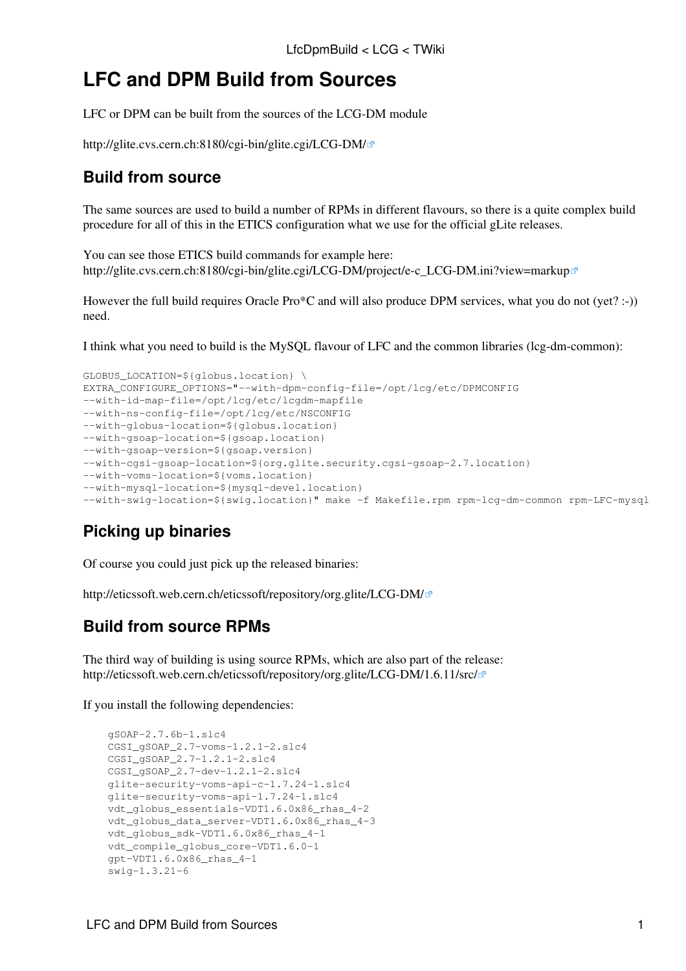## **LFC and DPM Build from Sources**

LFC or DPM can be built from the sources of the LCG-DM module

<http://glite.cvs.cern.ch:8180/cgi-bin/glite.cgi/LCG-DM/>

## **Build from source**

The same sources are used to build a number of RPMs in different flavours, so there is a quite complex build procedure for all of this in the ETICS configuration what we use for the official gLite releases.

You can see those ETICS build commands for example here: [http://glite.cvs.cern.ch:8180/cgi-bin/glite.cgi/LCG-DM/project/e-c\\_LCG-DM.ini?view=markup](http://glite.cvs.cern.ch:8180/cgi-bin/glite.cgi/LCG-DM/project/e-c_LCG-DM.ini?view=markup)

However the full build requires Oracle Pro\*C and will also produce DPM services, what you do not (yet? :-)) need.

I think what you need to build is the [MySQL](https://twiki.cern.ch/twiki/bin/edit/LCG/MySQL?topicparent=LCG.LfcDpmBuild;nowysiwyg=1) flavour of LFC and the common libraries (lcg-dm-common):

```
GLOBUS LOCATION=${globus.location} \
EXTRA_CONFIGURE_OPTIONS="--with-dpm-config-file=/opt/lcg/etc/DPMCONFIG 
--with-id-map-file=/opt/lcg/etc/lcgdm-mapfile
--with-ns-config-file=/opt/lcg/etc/NSCONFIG
--with-globus-location=${globus.location}
--with-gsoap-location=${gsoap.location}
--with-gsoap-version=${gsoap.version}
--with-cgsi-gsoap-location=${org.glite.security.cgsi-gsoap-2.7.location}
--with-voms-location=${voms.location}
--with-mysql-location=${mysql-devel.location}
--with-swig-location=${swig.location}" make -f Makefile.rpm rpm-lcg-dm-common rpm-LFC-mysql
```
## **Picking up binaries**

Of course you could just pick up the released binaries:

<http://eticssoft.web.cern.ch/eticssoft/repository/org.glite/LCG-DM/>

## **Build from source RPMs**

The third way of building is using source RPMs, which are also part of the release: <http://eticssoft.web.cern.ch/eticssoft/repository/org.glite/LCG-DM/1.6.11/src/>

If you install the following dependencies:

```
 gSOAP-2.7.6b-1.slc4
 CGSI_gSOAP_2.7-voms-1.2.1-2.slc4
 CGSI_gSOAP_2.7-1.2.1-2.slc4
 CGSI_gSOAP_2.7-dev-1.2.1-2.slc4
 glite-security-voms-api-c-1.7.24-1.slc4
 glite-security-voms-api-1.7.24-1.slc4
 vdt_globus_essentials-VDT1.6.0x86_rhas_4-2
 vdt_globus_data_server-VDT1.6.0x86_rhas_4-3
 vdt_globus_sdk-VDT1.6.0x86_rhas_4-1
 vdt_compile_globus_core-VDT1.6.0-1
 gpt-VDT1.6.0x86_rhas_4-1
 swig-1.3.21-6
```